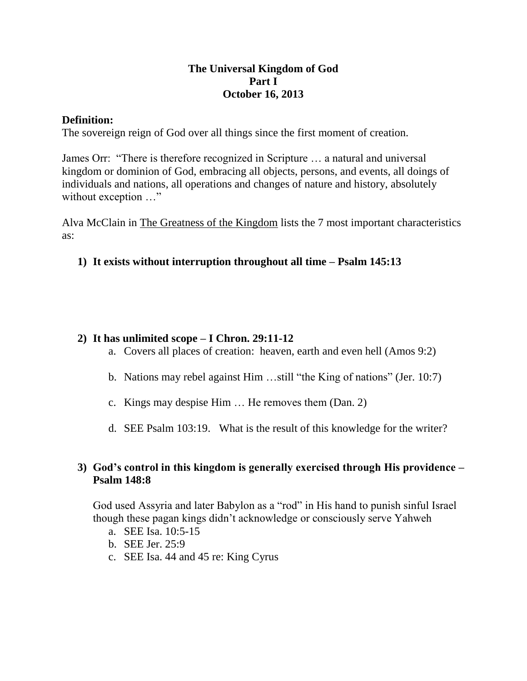## **The Universal Kingdom of God Part I October 16, 2013**

### **Definition:**

The sovereign reign of God over all things since the first moment of creation.

James Orr: "There is therefore recognized in Scripture … a natural and universal kingdom or dominion of God, embracing all objects, persons, and events, all doings of individuals and nations, all operations and changes of nature and history, absolutely without exception ..."

Alva McClain in The Greatness of the Kingdom lists the 7 most important characteristics as:

## **1) It exists without interruption throughout all time – Psalm 145:13**

#### **2) It has unlimited scope – I Chron. 29:11-12**

- a. Covers all places of creation: heaven, earth and even hell (Amos 9:2)
- b. Nations may rebel against Him …still "the King of nations" (Jer. 10:7)
- c. Kings may despise Him … He removes them (Dan. 2)
- d. SEE Psalm 103:19. What is the result of this knowledge for the writer?

### **3) God's control in this kingdom is generally exercised through His providence – Psalm 148:8**

God used Assyria and later Babylon as a "rod" in His hand to punish sinful Israel though these pagan kings didn't acknowledge or consciously serve Yahweh

- a. SEE Isa. 10:5-15
- b. SEE Jer. 25:9
- c. SEE Isa. 44 and 45 re: King Cyrus